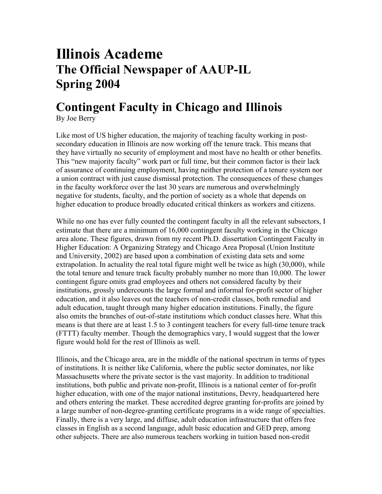## **Illinois Academe The Official Newspaper of AAUP-IL Spring 2004**

## **Contingent Faculty in Chicago and Illinois**

By Joe Berry

Like most of US higher education, the majority of teaching faculty working in postsecondary education in Illinois are now working off the tenure track. This means that they have virtually no security of employment and most have no health or other benefits. This "new majority faculty" work part or full time, but their common factor is their lack of assurance of continuing employment, having neither protection of a tenure system nor a union contract with just cause dismissal protection. The consequences of these changes in the faculty workforce over the last 30 years are numerous and overwhelmingly negative for students, faculty, and the portion of society as a whole that depends on higher education to produce broadly educated critical thinkers as workers and citizens.

While no one has ever fully counted the contingent faculty in all the relevant subsectors, I estimate that there are a minimum of 16,000 contingent faculty working in the Chicago area alone. These figures, drawn from my recent Ph.D. dissertation Contingent Faculty in Higher Education: A Organizing Strategy and Chicago Area Proposal (Union Institute and University, 2002) are based upon a combination of existing data sets and some extrapolation. In actuality the real total figure might well be twice as high (30,000), while the total tenure and tenure track faculty probably number no more than 10,000. The lower contingent figure omits grad employees and others not considered faculty by their institutions, grossly undercounts the large formal and informal for-profit sector of higher education, and it also leaves out the teachers of non-credit classes, both remedial and adult education, taught through many higher education institutions. Finally, the figure also omits the branches of out-of-state institutions which conduct classes here. What this means is that there are at least 1.5 to 3 contingent teachers for every full-time tenure track (FTTT) faculty member. Though the demographics vary, I would suggest that the lower figure would hold for the rest of Illinois as well.

Illinois, and the Chicago area, are in the middle of the national spectrum in terms of types of institutions. It is neither like California, where the public sector dominates, nor like Massachusetts where the private sector is the vast majority. In addition to traditional institutions, both public and private non-profit, Illinois is a national center of for-profit higher education, with one of the major national institutions, Devry, headquartered here and others entering the market. These accredited degree granting for-profits are joined by a large number of non-degree-granting certificate programs in a wide range of specialties. Finally, there is a very large, and diffuse, adult education infrastructure that offers free classes in English as a second language, adult basic education and GED prep, among other subjects. There are also numerous teachers working in tuition based non-credit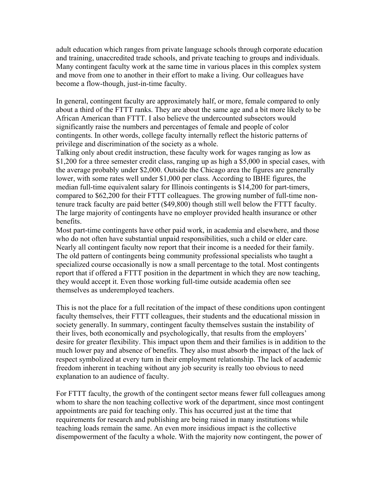adult education which ranges from private language schools through corporate education and training, unaccredited trade schools, and private teaching to groups and individuals. Many contingent faculty work at the same time in various places in this complex system and move from one to another in their effort to make a living. Our colleagues have become a flow-though, just-in-time faculty.

In general, contingent faculty are approximately half, or more, female compared to only about a third of the FTTT ranks. They are about the same age and a bit more likely to be African American than FTTT. I also believe the undercounted subsectors would significantly raise the numbers and percentages of female and people of color contingents. In other words, college faculty internally reflect the historic patterns of privilege and discrimination of the society as a whole.

Talking only about credit instruction, these faculty work for wages ranging as low as \$1,200 for a three semester credit class, ranging up as high a \$5,000 in special cases, with the average probably under \$2,000. Outside the Chicago area the figures are generally lower, with some rates well under \$1,000 per class. According to IBHE figures, the median full-time equivalent salary for Illinois contingents is \$14,200 for part-timers, compared to \$62,200 for their FTTT colleagues. The growing number of full-time nontenure track faculty are paid better (\$49,800) though still well below the FTTT faculty. The large majority of contingents have no employer provided health insurance or other benefits.

Most part-time contingents have other paid work, in academia and elsewhere, and those who do not often have substantial unpaid responsibilities, such a child or elder care. Nearly all contingent faculty now report that their income is a needed for their family. The old pattern of contingents being community professional specialists who taught a specialized course occasionally is now a small percentage to the total. Most contingents report that if offered a FTTT position in the department in which they are now teaching, they would accept it. Even those working full-time outside academia often see themselves as underemployed teachers.

This is not the place for a full recitation of the impact of these conditions upon contingent faculty themselves, their FTTT colleagues, their students and the educational mission in society generally. In summary, contingent faculty themselves sustain the instability of their lives, both economically and psychologically, that results from the employers' desire for greater flexibility. This impact upon them and their families is in addition to the much lower pay and absence of benefits. They also must absorb the impact of the lack of respect symbolized at every turn in their employment relationship. The lack of academic freedom inherent in teaching without any job security is really too obvious to need explanation to an audience of faculty.

For FTTT faculty, the growth of the contingent sector means fewer full colleagues among whom to share the non teaching collective work of the department, since most contingent appointments are paid for teaching only. This has occurred just at the time that requirements for research and publishing are being raised in many institutions while teaching loads remain the same. An even more insidious impact is the collective disempowerment of the faculty a whole. With the majority now contingent, the power of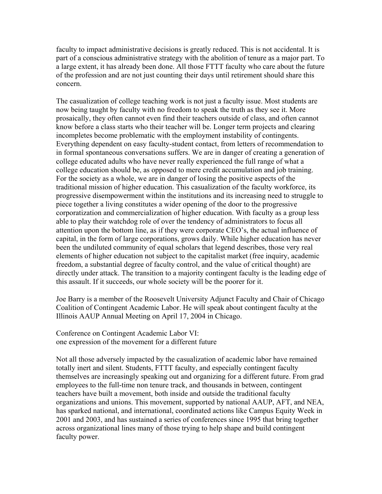faculty to impact administrative decisions is greatly reduced. This is not accidental. It is part of a conscious administrative strategy with the abolition of tenure as a major part. To a large extent, it has already been done. All those FTTT faculty who care about the future of the profession and are not just counting their days until retirement should share this concern.

The casualization of college teaching work is not just a faculty issue. Most students are now being taught by faculty with no freedom to speak the truth as they see it. More prosaically, they often cannot even find their teachers outside of class, and often cannot know before a class starts who their teacher will be. Longer term projects and clearing incompletes become problematic with the employment instability of contingents. Everything dependent on easy faculty-student contact, from letters of recommendation to in formal spontaneous conversations suffers. We are in danger of creating a generation of college educated adults who have never really experienced the full range of what a college education should be, as opposed to mere credit accumulation and job training. For the society as a whole, we are in danger of losing the positive aspects of the traditional mission of higher education. This casualization of the faculty workforce, its progressive disempowerment within the institutions and its increasing need to struggle to piece together a living constitutes a wider opening of the door to the progressive corporatization and commercialization of higher education. With faculty as a group less able to play their watchdog role of over the tendency of administrators to focus all attention upon the bottom line, as if they were corporate CEO's, the actual influence of capital, in the form of large corporations, grows daily. While higher education has never been the undiluted community of equal scholars that legend describes, those very real elements of higher education not subject to the capitalist market (free inquiry, academic freedom, a substantial degree of faculty control, and the value of critical thought) are directly under attack. The transition to a majority contingent faculty is the leading edge of this assault. If it succeeds, our whole society will be the poorer for it.

Joe Barry is a member of the Roosevelt University Adjunct Faculty and Chair of Chicago Coalition of Contingent Academic Labor. He will speak about contingent faculty at the Illinois AAUP Annual Meeting on April 17, 2004 in Chicago.

Conference on Contingent Academic Labor VI: one expression of the movement for a different future

Not all those adversely impacted by the casualization of academic labor have remained totally inert and silent. Students, FTTT faculty, and especially contingent faculty themselves are increasingly speaking out and organizing for a different future. From grad employees to the full-time non tenure track, and thousands in between, contingent teachers have built a movement, both inside and outside the traditional faculty organizations and unions. This movement, supported by national AAUP, AFT, and NEA, has sparked national, and international, coordinated actions like Campus Equity Week in 2001 and 2003, and has sustained a series of conferences since 1995 that bring together across organizational lines many of those trying to help shape and build contingent faculty power.